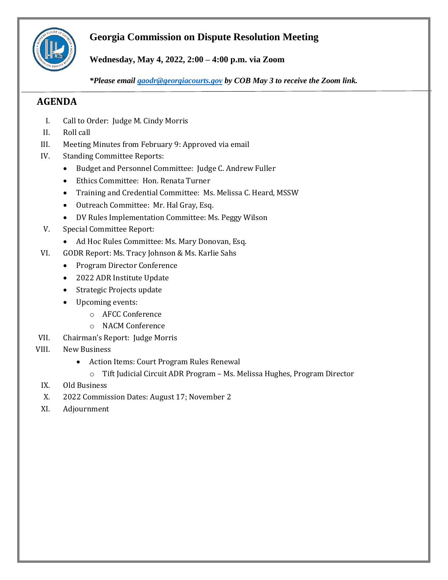

# **Georgia Commission on Dispute Resolution Meeting**

**Wednesday, May 4, 2022, 2:00 – 4:00 p.m. via Zoom**

*\*Please email [gaodr@georgiacourts.gov](mailto:gaodr@georgiacourts.gov) by COB May 3 to receive the Zoom link.*

# **AGENDA**

- I. Call to Order: Judge M. Cindy Morris
- II. Roll call
- III. Meeting Minutes from February 9: Approved via email
- IV. Standing Committee Reports:
	- Budget and Personnel Committee: Judge C. Andrew Fuller
	- Ethics Committee: Hon. Renata Turner
	- Training and Credential Committee: Ms. Melissa C. Heard, MSSW
	- Outreach Committee: Mr. Hal Gray, Esq.
	- DV Rules Implementation Committee: Ms. Peggy Wilson
- V. Special Committee Report:
	- Ad Hoc Rules Committee: Ms. Mary Donovan, Esq.
- VI. GODR Report: Ms. Tracy Johnson & Ms. Karlie Sahs
	- Program Director Conference
	- 2022 ADR Institute Update
	- Strategic Projects update
	- Upcoming events:
		- o AFCC Conference
		- o NACM Conference
- VII. Chairman's Report: Judge Morris
- VIII. New Business
	- Action Items: Court Program Rules Renewal
		- o Tift Judicial Circuit ADR Program Ms. Melissa Hughes, Program Director
	- IX. Old Business
	- X. 2022 Commission Dates: August 17; November 2
	- XI. Adjournment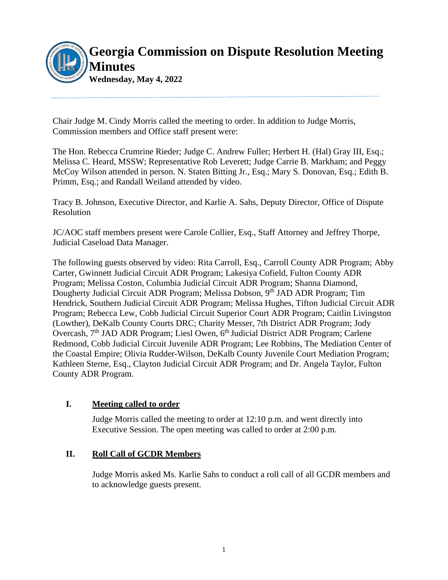

Chair Judge M. Cindy Morris called the meeting to order. In addition to Judge Morris, Commission members and Office staff present were:

The Hon. Rebecca Crumrine Rieder; Judge C. Andrew Fuller; Herbert H. (Hal) Gray III, Esq.; Melissa C. Heard, MSSW; Representative Rob Leverett; Judge Carrie B. Markham; and Peggy McCoy Wilson attended in person. N. Staten Bitting Jr., Esq.; Mary S. Donovan, Esq.; Edith B. Primm, Esq.; and Randall Weiland attended by video.

Tracy B. Johnson, Executive Director, and Karlie A. Sahs, Deputy Director, Office of Dispute Resolution

JC/AOC staff members present were Carole Collier, Esq., Staff Attorney and Jeffrey Thorpe, Judicial Caseload Data Manager.

The following guests observed by video: Rita Carroll, Esq., Carroll County ADR Program; Abby Carter, Gwinnett Judicial Circuit ADR Program; Lakesiya Cofield, Fulton County ADR Program; Melissa Coston, Columbia Judicial Circuit ADR Program; Shanna Diamond, Dougherty Judicial Circuit ADR Program; Melissa Dobson, 9<sup>th</sup> JAD ADR Program; Tim Hendrick, Southern Judicial Circuit ADR Program; Melissa Hughes, Tifton Judicial Circuit ADR Program; Rebecca Lew, Cobb Judicial Circuit Superior Court ADR Program; Caitlin Livingston (Lowther), DeKalb County Courts DRC; Charity Messer, 7th District ADR Program; Jody Overcash, 7<sup>th</sup> JAD ADR Program; Liesl Owen, 6<sup>th</sup> Judicial District ADR Program; Carlene Redmond, Cobb Judicial Circuit Juvenile ADR Program; Lee Robbins, The Mediation Center of the Coastal Empire; Olivia Rudder-Wilson, DeKalb County Juvenile Court Mediation Program; Kathleen Sterne, Esq., Clayton Judicial Circuit ADR Program; and Dr. Angela Taylor, Fulton County ADR Program.

# **I. Meeting called to order**

Judge Morris called the meeting to order at 12:10 p.m. and went directly into Executive Session. The open meeting was called to order at 2:00 p.m.

# **II. Roll Call of GCDR Members**

Judge Morris asked Ms. Karlie Sahs to conduct a roll call of all GCDR members and to acknowledge guests present.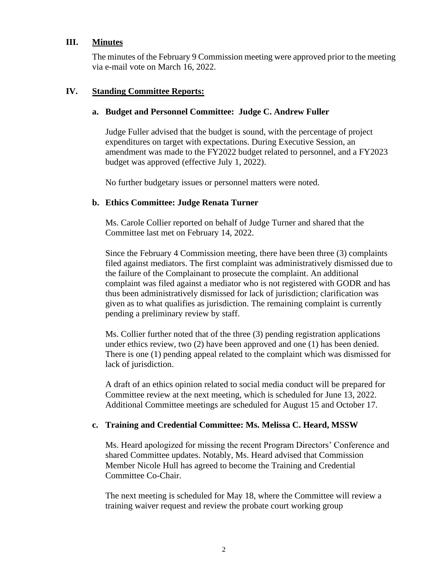# **III. Minutes**

The minutes of the February 9 Commission meeting were approved prior to the meeting via e-mail vote on March 16, 2022.

#### **IV. Standing Committee Reports:**

# **a. Budget and Personnel Committee: Judge C. Andrew Fuller**

Judge Fuller advised that the budget is sound, with the percentage of project expenditures on target with expectations. During Executive Session, an amendment was made to the FY2022 budget related to personnel, and a FY2023 budget was approved (effective July 1, 2022).

No further budgetary issues or personnel matters were noted.

#### **b. Ethics Committee: Judge Renata Turner**

Ms. Carole Collier reported on behalf of Judge Turner and shared that the Committee last met on February 14, 2022.

Since the February 4 Commission meeting, there have been three (3) complaints filed against mediators. The first complaint was administratively dismissed due to the failure of the Complainant to prosecute the complaint. An additional complaint was filed against a mediator who is not registered with GODR and has thus been administratively dismissed for lack of jurisdiction; clarification was given as to what qualifies as jurisdiction. The remaining complaint is currently pending a preliminary review by staff.

Ms. Collier further noted that of the three (3) pending registration applications under ethics review, two (2) have been approved and one (1) has been denied. There is one (1) pending appeal related to the complaint which was dismissed for lack of jurisdiction.

A draft of an ethics opinion related to social media conduct will be prepared for Committee review at the next meeting, which is scheduled for June 13, 2022. Additional Committee meetings are scheduled for August 15 and October 17.

# **c. Training and Credential Committee: Ms. Melissa C. Heard, MSSW**

Ms. Heard apologized for missing the recent Program Directors' Conference and shared Committee updates. Notably, Ms. Heard advised that Commission Member Nicole Hull has agreed to become the Training and Credential Committee Co-Chair.

The next meeting is scheduled for May 18, where the Committee will review a training waiver request and review the probate court working group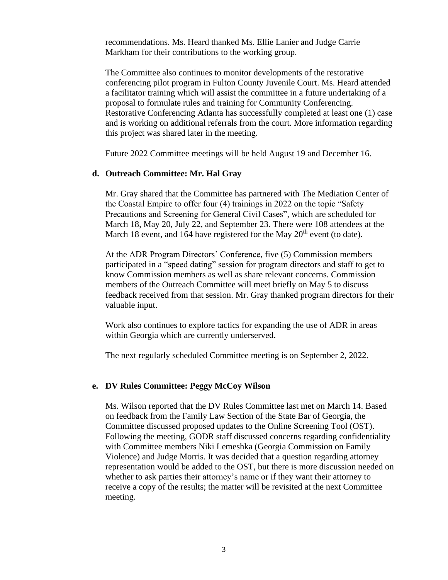recommendations. Ms. Heard thanked Ms. Ellie Lanier and Judge Carrie Markham for their contributions to the working group.

The Committee also continues to monitor developments of the restorative conferencing pilot program in Fulton County Juvenile Court. Ms. Heard attended a facilitator training which will assist the committee in a future undertaking of a proposal to formulate rules and training for Community Conferencing. Restorative Conferencing Atlanta has successfully completed at least one (1) case and is working on additional referrals from the court. More information regarding this project was shared later in the meeting.

Future 2022 Committee meetings will be held August 19 and December 16.

#### **d. Outreach Committee: Mr. Hal Gray**

Mr. Gray shared that the Committee has partnered with The Mediation Center of the Coastal Empire to offer four (4) trainings in 2022 on the topic "Safety Precautions and Screening for General Civil Cases", which are scheduled for March 18, May 20, July 22, and September 23. There were 108 attendees at the March 18 event, and 164 have registered for the May  $20<sup>th</sup>$  event (to date).

At the ADR Program Directors' Conference, five (5) Commission members participated in a "speed dating" session for program directors and staff to get to know Commission members as well as share relevant concerns. Commission members of the Outreach Committee will meet briefly on May 5 to discuss feedback received from that session. Mr. Gray thanked program directors for their valuable input.

Work also continues to explore tactics for expanding the use of ADR in areas within Georgia which are currently underserved.

The next regularly scheduled Committee meeting is on September 2, 2022.

#### **e. DV Rules Committee: Peggy McCoy Wilson**

Ms. Wilson reported that the DV Rules Committee last met on March 14. Based on feedback from the Family Law Section of the State Bar of Georgia, the Committee discussed proposed updates to the Online Screening Tool (OST). Following the meeting, GODR staff discussed concerns regarding confidentiality with Committee members Niki Lemeshka (Georgia Commission on Family Violence) and Judge Morris. It was decided that a question regarding attorney representation would be added to the OST, but there is more discussion needed on whether to ask parties their attorney's name or if they want their attorney to receive a copy of the results; the matter will be revisited at the next Committee meeting.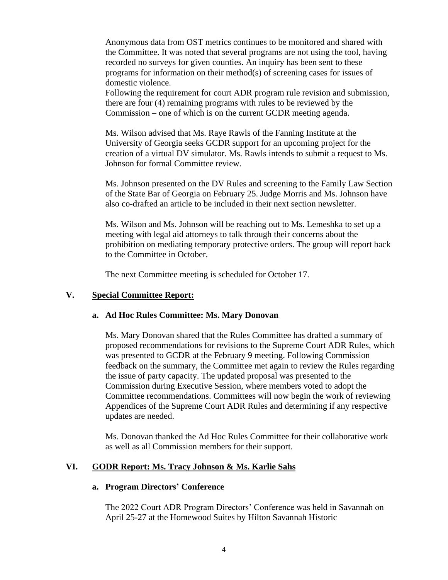Anonymous data from OST metrics continues to be monitored and shared with the Committee. It was noted that several programs are not using the tool, having recorded no surveys for given counties. An inquiry has been sent to these programs for information on their method(s) of screening cases for issues of domestic violence.

Following the requirement for court ADR program rule revision and submission, there are four (4) remaining programs with rules to be reviewed by the Commission – one of which is on the current GCDR meeting agenda.

Ms. Wilson advised that Ms. Raye Rawls of the Fanning Institute at the University of Georgia seeks GCDR support for an upcoming project for the creation of a virtual DV simulator. Ms. Rawls intends to submit a request to Ms. Johnson for formal Committee review.

Ms. Johnson presented on the DV Rules and screening to the Family Law Section of the State Bar of Georgia on February 25. Judge Morris and Ms. Johnson have also co-drafted an article to be included in their next section newsletter.

Ms. Wilson and Ms. Johnson will be reaching out to Ms. Lemeshka to set up a meeting with legal aid attorneys to talk through their concerns about the prohibition on mediating temporary protective orders. The group will report back to the Committee in October.

The next Committee meeting is scheduled for October 17.

#### **V. Special Committee Report:**

#### **a. Ad Hoc Rules Committee: Ms. Mary Donovan**

Ms. Mary Donovan shared that the Rules Committee has drafted a summary of proposed recommendations for revisions to the Supreme Court ADR Rules, which was presented to GCDR at the February 9 meeting. Following Commission feedback on the summary, the Committee met again to review the Rules regarding the issue of party capacity. The updated proposal was presented to the Commission during Executive Session, where members voted to adopt the Committee recommendations. Committees will now begin the work of reviewing Appendices of the Supreme Court ADR Rules and determining if any respective updates are needed.

Ms. Donovan thanked the Ad Hoc Rules Committee for their collaborative work as well as all Commission members for their support.

#### **VI. GODR Report: Ms. Tracy Johnson & Ms. Karlie Sahs**

#### **a. Program Directors' Conference**

The 2022 Court ADR Program Directors' Conference was held in Savannah on April 25-27 at the Homewood Suites by Hilton Savannah Historic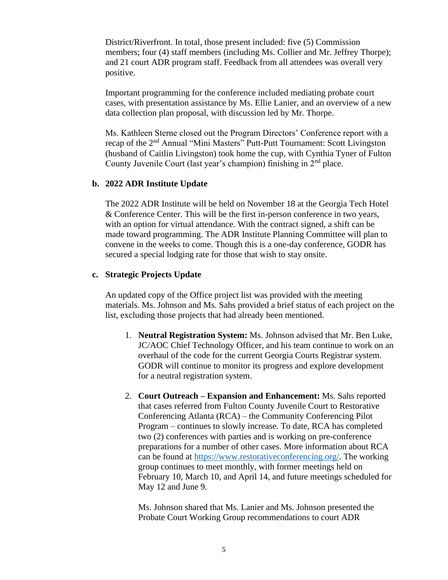District/Riverfront. In total, those present included: five (5) Commission members; four (4) staff members (including Ms. Collier and Mr. Jeffrey Thorpe); and 21 court ADR program staff. Feedback from all attendees was overall very positive.

Important programming for the conference included mediating probate court cases, with presentation assistance by Ms. Ellie Lanier, and an overview of a new data collection plan proposal, with discussion led by Mr. Thorpe.

Ms. Kathleen Sterne closed out the Program Directors' Conference report with a recap of the 2nd Annual "Mini Masters" Putt-Putt Tournament: Scott Livingston (husband of Caitlin Livingston) took home the cup, with Cynthia Tyner of Fulton County Juvenile Court (last year's champion) finishing in 2<sup>nd</sup> place.

#### **b. 2022 ADR Institute Update**

The 2022 ADR Institute will be held on November 18 at the Georgia Tech Hotel & Conference Center. This will be the first in-person conference in two years, with an option for virtual attendance. With the contract signed, a shift can be made toward programming. The ADR Institute Planning Committee will plan to convene in the weeks to come. Though this is a one-day conference, GODR has secured a special lodging rate for those that wish to stay onsite.

#### **c. Strategic Projects Update**

An updated copy of the Office project list was provided with the meeting materials. Ms. Johnson and Ms. Sahs provided a brief status of each project on the list, excluding those projects that had already been mentioned.

- 1. **Neutral Registration System:** Ms. Johnson advised that Mr. Ben Luke, JC/AOC Chief Technology Officer, and his team continue to work on an overhaul of the code for the current Georgia Courts Registrar system. GODR will continue to monitor its progress and explore development for a neutral registration system.
- 2. **Court Outreach – Expansion and Enhancement:** Ms. Sahs reported that cases referred from Fulton County Juvenile Court to Restorative Conferencing Atlanta (RCA) – the Community Conferencing Pilot Program – continues to slowly increase. To date, RCA has completed two (2) conferences with parties and is working on pre-conference preparations for a number of other cases. More information about RCA can be found at [https://www.restorativeconferencing.org/.](https://www.restorativeconferencing.org/) The working group continues to meet monthly, with former meetings held on February 10, March 10, and April 14, and future meetings scheduled for May 12 and June 9.

Ms. Johnson shared that Ms. Lanier and Ms. Johnson presented the Probate Court Working Group recommendations to court ADR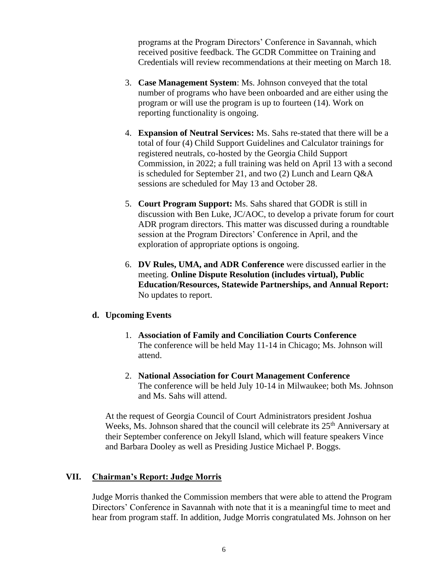programs at the Program Directors' Conference in Savannah, which received positive feedback. The GCDR Committee on Training and Credentials will review recommendations at their meeting on March 18.

- 3. **Case Management System**: Ms. Johnson conveyed that the total number of programs who have been onboarded and are either using the program or will use the program is up to fourteen (14). Work on reporting functionality is ongoing.
- 4. **Expansion of Neutral Services:** Ms. Sahs re-stated that there will be a total of four (4) Child Support Guidelines and Calculator trainings for registered neutrals, co-hosted by the Georgia Child Support Commission, in 2022; a full training was held on April 13 with a second is scheduled for September 21, and two (2) Lunch and Learn Q&A sessions are scheduled for May 13 and October 28.
- 5. **Court Program Support:** Ms. Sahs shared that GODR is still in discussion with Ben Luke, JC/AOC, to develop a private forum for court ADR program directors. This matter was discussed during a roundtable session at the Program Directors' Conference in April, and the exploration of appropriate options is ongoing.
- 6. **DV Rules, UMA, and ADR Conference** were discussed earlier in the meeting. **Online Dispute Resolution (includes virtual), Public Education/Resources, Statewide Partnerships, and Annual Report:** No updates to report.

# **d. Upcoming Events**

- 1. **Association of Family and Conciliation Courts Conference** The conference will be held May 11-14 in Chicago; Ms. Johnson will attend.
- 2. **National Association for Court Management Conference** The conference will be held July 10-14 in Milwaukee; both Ms. Johnson and Ms. Sahs will attend.

At the request of Georgia Council of Court Administrators president Joshua Weeks, Ms. Johnson shared that the council will celebrate its  $25<sup>th</sup>$  Anniversary at their September conference on Jekyll Island, which will feature speakers Vince and Barbara Dooley as well as Presiding Justice Michael P. Boggs.

# **VII. Chairman's Report: Judge Morris**

Judge Morris thanked the Commission members that were able to attend the Program Directors' Conference in Savannah with note that it is a meaningful time to meet and hear from program staff. In addition, Judge Morris congratulated Ms. Johnson on her